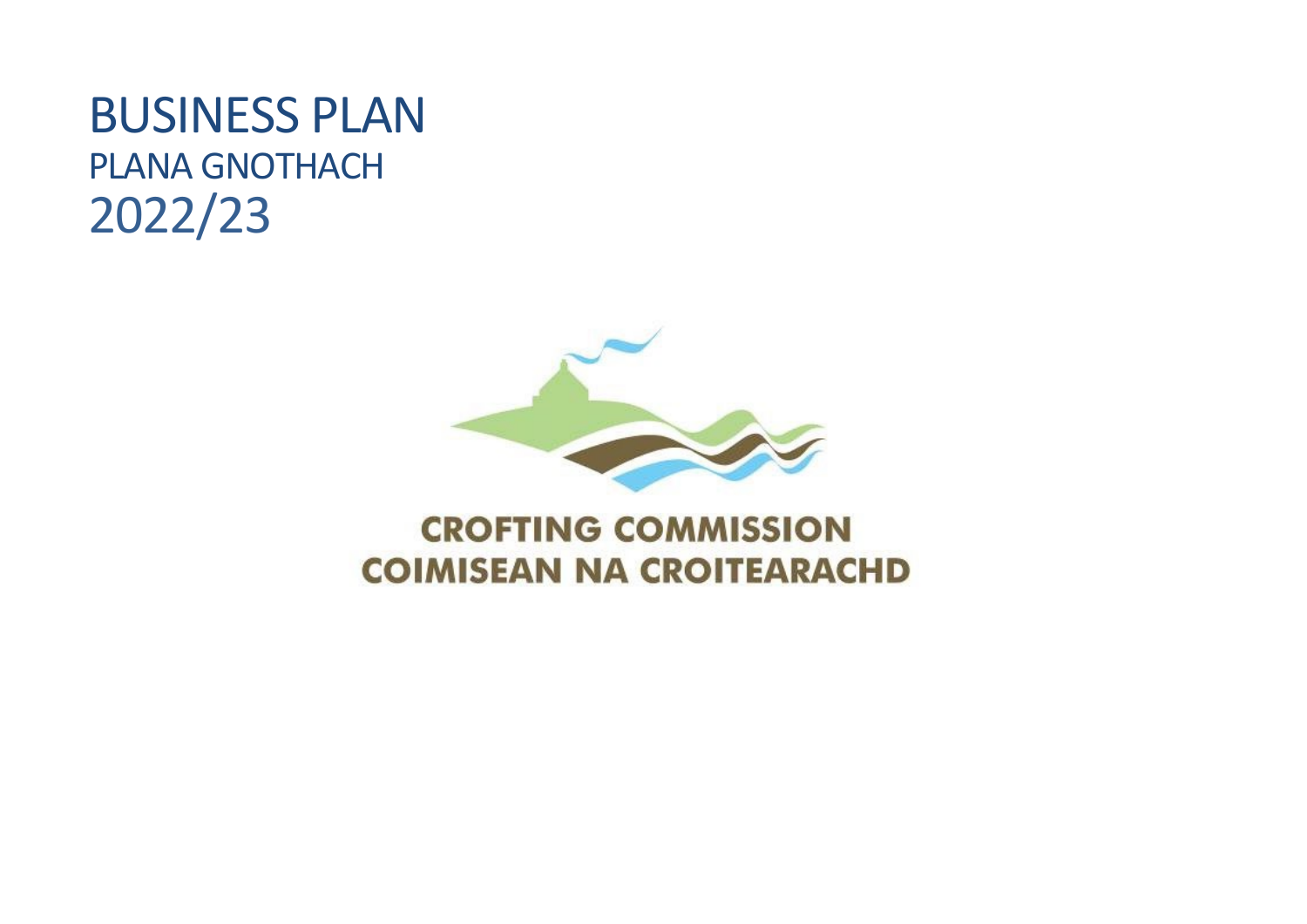# BUSINESS PLAN PLANA GNOTHACH 2022/23

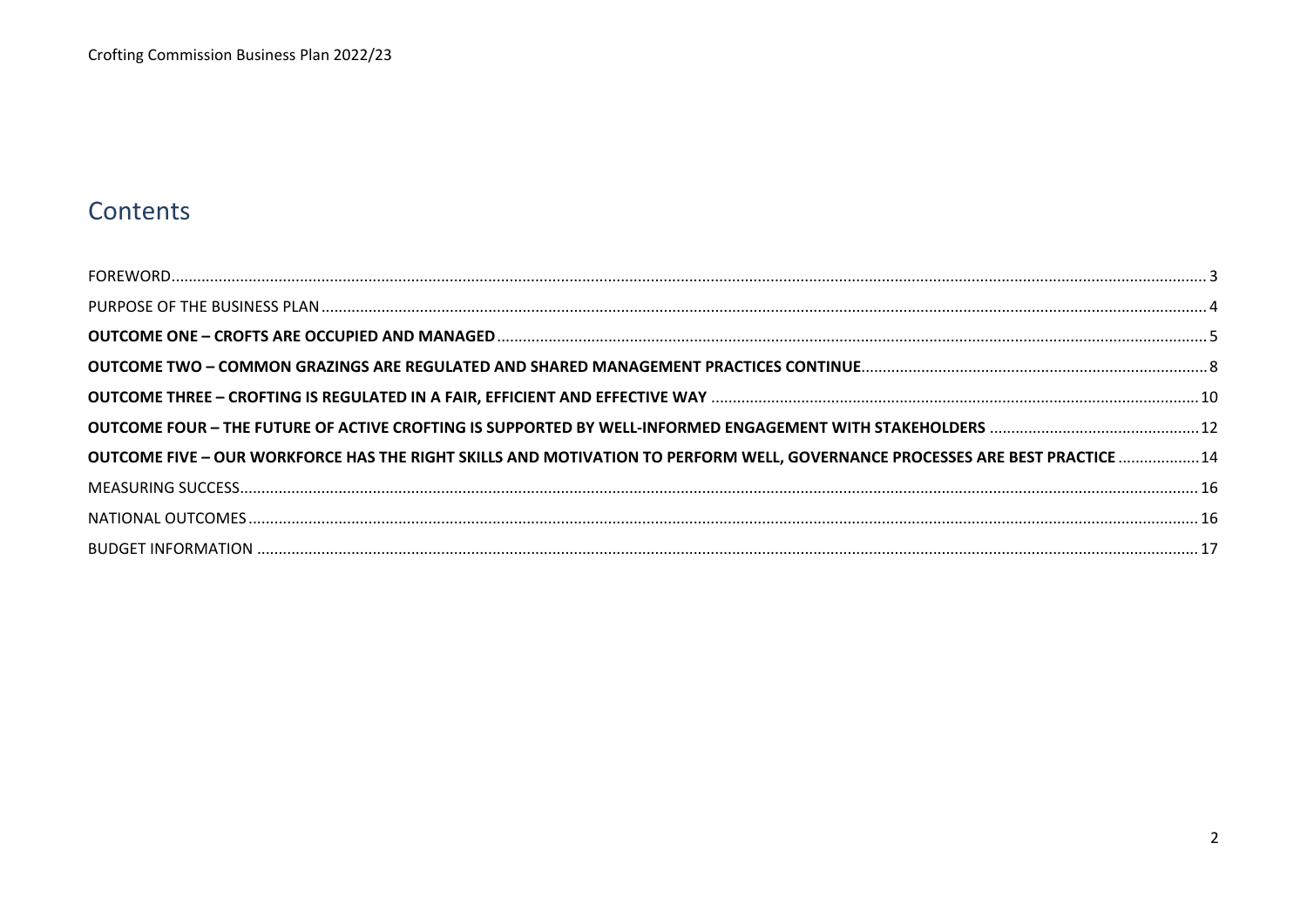# Contents

| OUTCOME FIVE - OUR WORKFORCE HAS THE RIGHT SKILLS AND MOTIVATION TO PERFORM WELL, GOVERNANCE PROCESSES ARE BEST PRACTICE  14 |  |
|------------------------------------------------------------------------------------------------------------------------------|--|
|                                                                                                                              |  |
|                                                                                                                              |  |
|                                                                                                                              |  |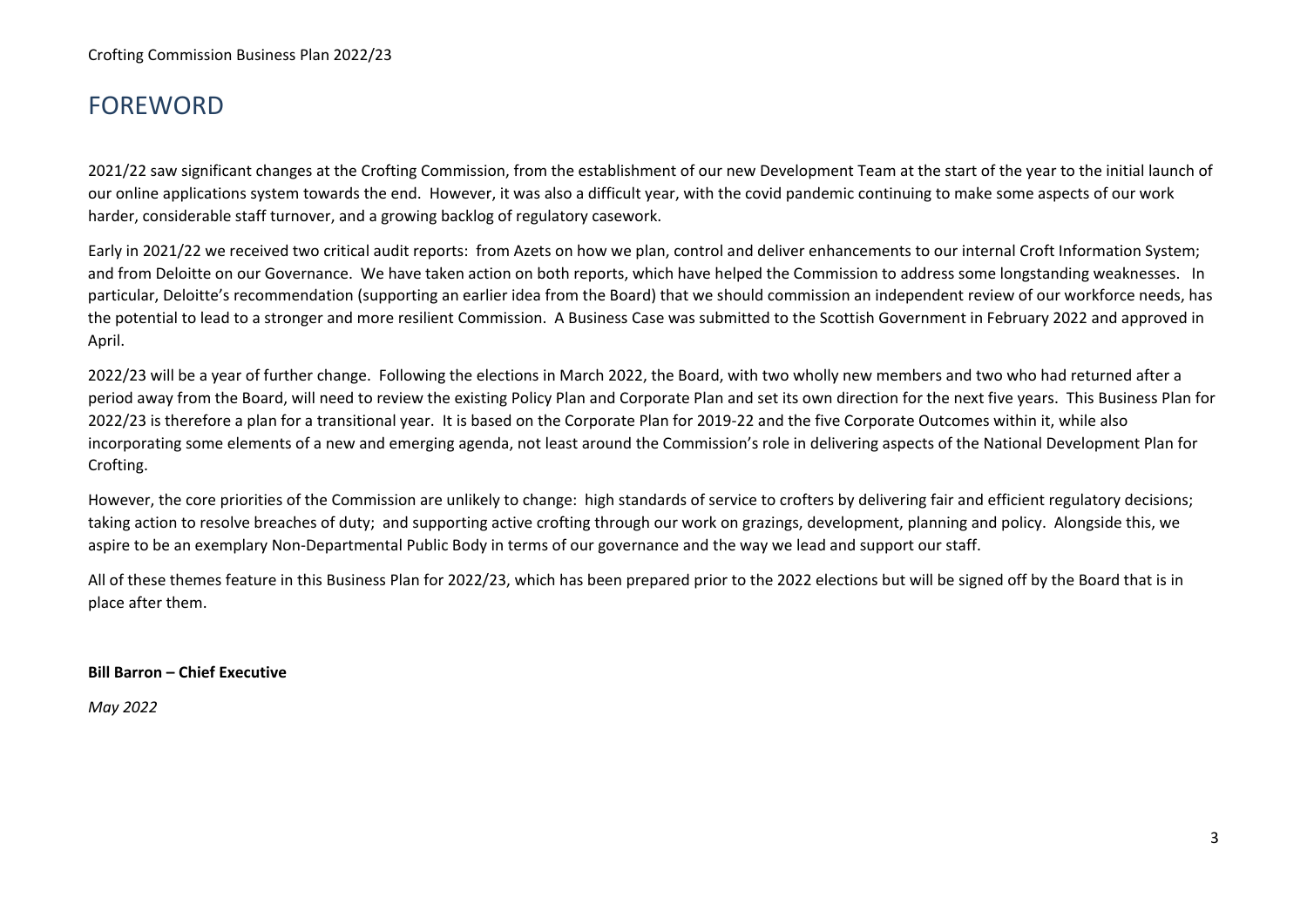### <span id="page-2-0"></span>FOREWORD

2021/22 saw significant changes at the Crofting Commission, from the establishment of our new Development Team at the start of the year to the initial launch of our online applications system towards the end. However, it was also a difficult year, with the covid pandemic continuing to make some aspects of our work harder, considerable staff turnover, and a growing backlog of regulatory casework.

Early in 2021/22 we received two critical audit reports: from Azets on how we plan, control and deliver enhancements to our internal Croft Information System; and from Deloitte on our Governance. We have taken action on both reports, which have helped the Commission to address some longstanding weaknesses. In particular, Deloitte's recommendation (supporting an earlier idea from the Board) that we should commission an independent review of our workforce needs, has the potential to lead to a stronger and more resilient Commission. A Business Case was submitted to the Scottish Government in February 2022 and approved in April.

2022/23 will be a year of further change. Following the elections in March 2022, the Board, with two wholly new members and two who had returned after a period away from the Board, will need to review the existing Policy Plan and Corporate Plan and set its own direction for the next five years. This Business Plan for 2022/23 is therefore a plan for a transitional year. It is based on the Corporate Plan for 2019-22 and the five Corporate Outcomes within it, while also incorporating some elements of a new and emerging agenda, not least around the Commission's role in delivering aspects of the National Development Plan for Crofting.

However, the core priorities of the Commission are unlikely to change: high standards of service to crofters by delivering fair and efficient regulatory decisions; taking action to resolve breaches of duty; and supporting active crofting through our work on grazings, development, planning and policy. Alongside this, we aspire to be an exemplary Non-Departmental Public Body in terms of our governance and the way we lead and support our staff.

All of these themes feature in this Business Plan for 2022/23, which has been prepared prior to the 2022 elections but will be signed off by the Board that is in place after them.

**Bill Barron – Chief Executive**

*May 2022*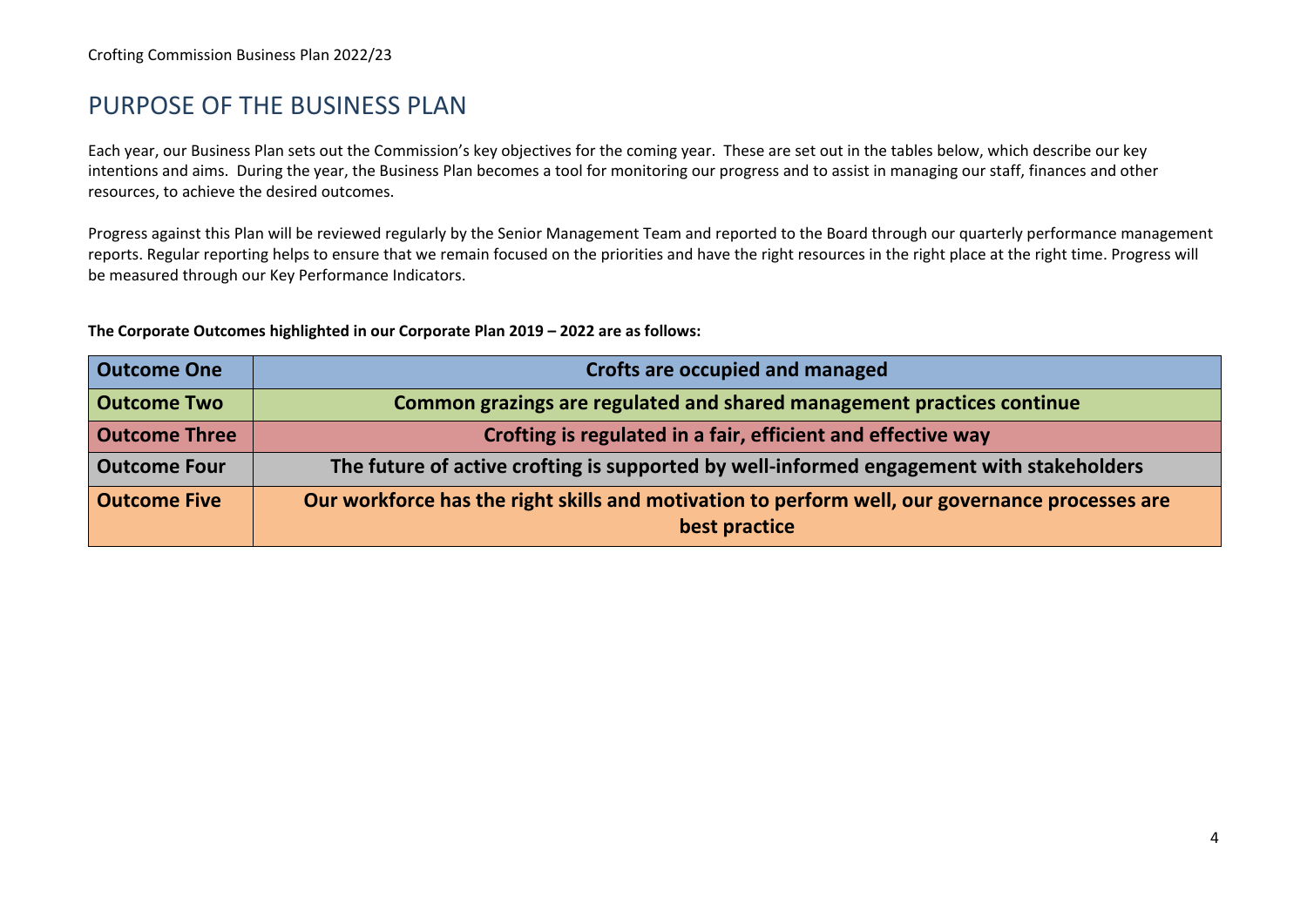### <span id="page-3-0"></span>PURPOSE OF THE BUSINESS PLAN

Each year, our Business Plan sets out the Commission's key objectives for the coming year. These are set out in the tables below, which describe our key intentions and aims. During the year, the Business Plan becomes a tool for monitoring our progress and to assist in managing our staff, finances and other resources, to achieve the desired outcomes.

Progress against this Plan will be reviewed regularly by the Senior Management Team and reported to the Board through our quarterly performance management reports. Regular reporting helps to ensure that we remain focused on the priorities and have the right resources in the right place at the right time. Progress will be measured through our Key Performance Indicators.

**The Corporate Outcomes highlighted in our Corporate Plan 2019 – 2022 are as follows:** 

| <b>Outcome One</b>   | <b>Crofts are occupied and managed</b>                                                          |  |  |
|----------------------|-------------------------------------------------------------------------------------------------|--|--|
| <b>Outcome Two</b>   | Common grazings are regulated and shared management practices continue                          |  |  |
| <b>Outcome Three</b> | Crofting is regulated in a fair, efficient and effective way                                    |  |  |
| <b>Outcome Four</b>  | The future of active crofting is supported by well-informed engagement with stakeholders        |  |  |
| <b>Outcome Five</b>  | Our workforce has the right skills and motivation to perform well, our governance processes are |  |  |
|                      | best practice                                                                                   |  |  |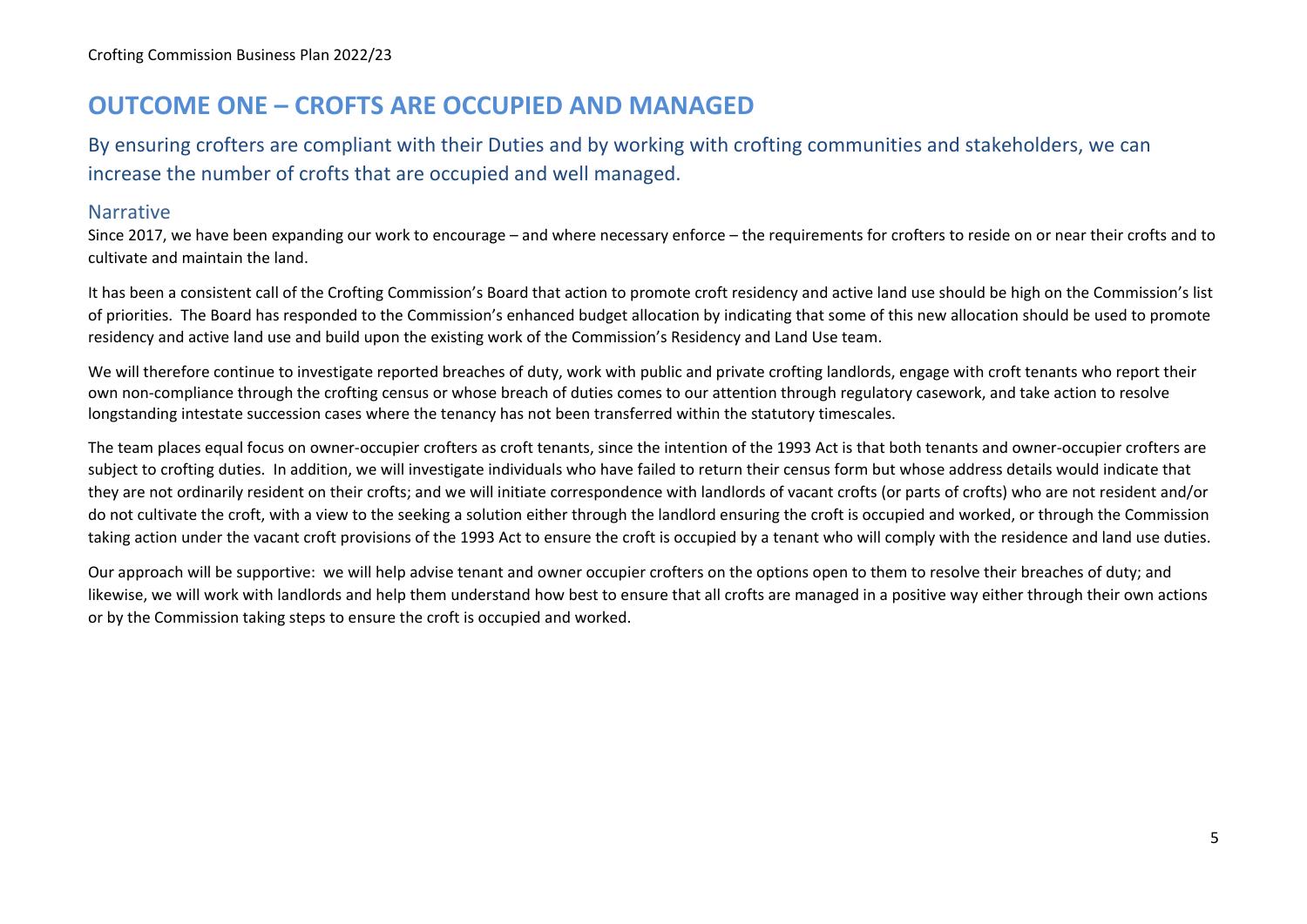### <span id="page-4-0"></span>**OUTCOME ONE – CROFTS ARE OCCUPIED AND MANAGED**

By ensuring crofters are compliant with their Duties and by working with crofting communities and stakeholders, we can increase the number of crofts that are occupied and well managed.

#### Narrative

Since 2017, we have been expanding our work to encourage – and where necessary enforce – the requirements for crofters to reside on or near their crofts and to cultivate and maintain the land.

It has been a consistent call of the Crofting Commission's Board that action to promote croft residency and active land use should be high on the Commission's list of priorities. The Board has responded to the Commission's enhanced budget allocation by indicating that some of this new allocation should be used to promote residency and active land use and build upon the existing work of the Commission's Residency and Land Use team.

We will therefore continue to investigate reported breaches of duty, work with public and private crofting landlords, engage with croft tenants who report their own non-compliance through the crofting census or whose breach of duties comes to our attention through regulatory casework, and take action to resolve longstanding intestate succession cases where the tenancy has not been transferred within the statutory timescales.

The team places equal focus on owner-occupier crofters as croft tenants, since the intention of the 1993 Act is that both tenants and owner-occupier crofters are subject to crofting duties. In addition, we will investigate individuals who have failed to return their census form but whose address details would indicate that they are not ordinarily resident on their crofts; and we will initiate correspondence with landlords of vacant crofts (or parts of crofts) who are not resident and/or do not cultivate the croft, with a view to the seeking a solution either through the landlord ensuring the croft is occupied and worked, or through the Commission taking action under the vacant croft provisions of the 1993 Act to ensure the croft is occupied by a tenant who will comply with the residence and land use duties.

Our approach will be supportive: we will help advise tenant and owner occupier crofters on the options open to them to resolve their breaches of duty; and likewise, we will work with landlords and help them understand how best to ensure that all crofts are managed in a positive way either through their own actions or by the Commission taking steps to ensure the croft is occupied and worked.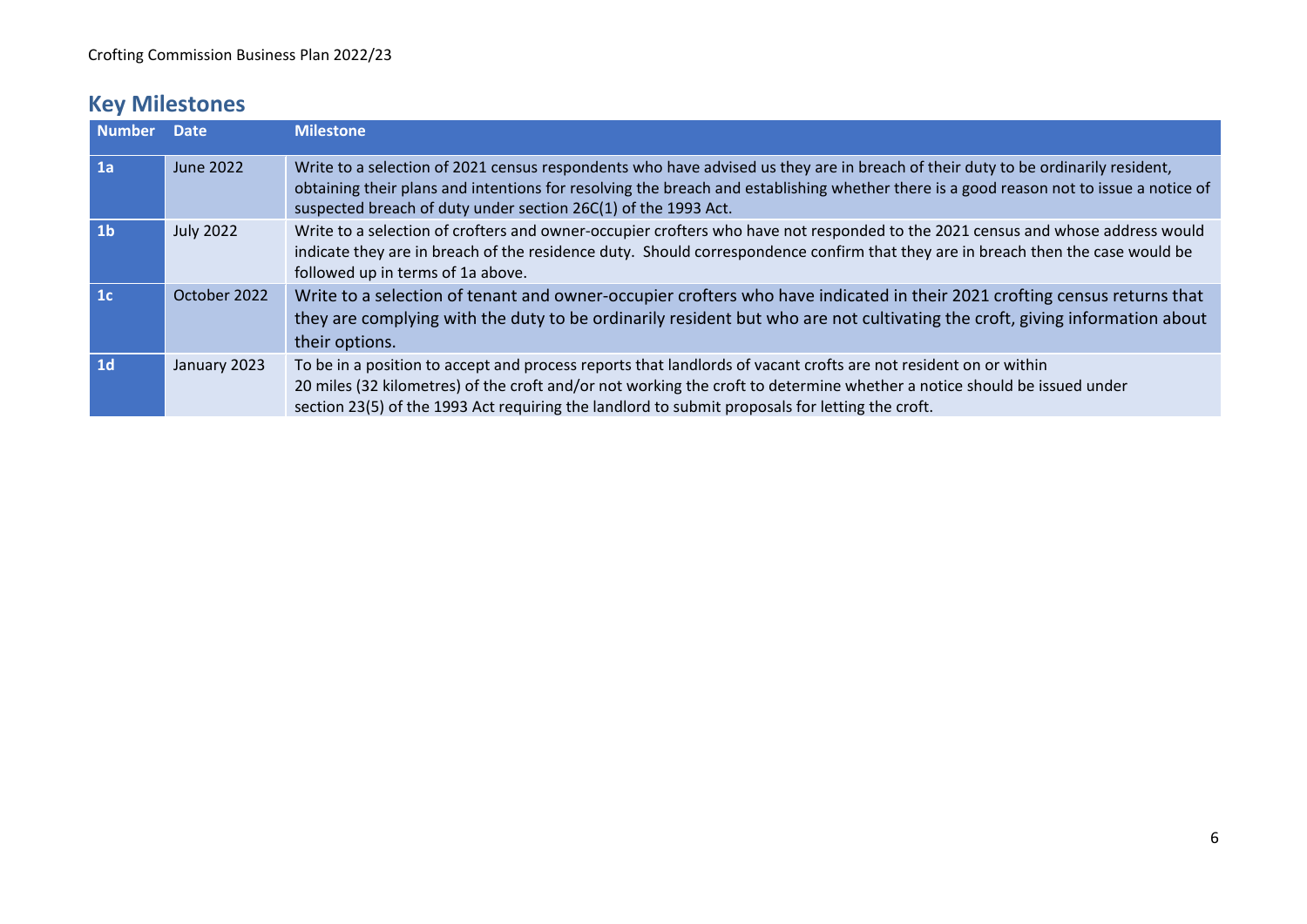| <b>Number</b>  | <b>Date</b>      | <b>Milestone</b>                                                                                                                                                                                                                                                                                                                              |
|----------------|------------------|-----------------------------------------------------------------------------------------------------------------------------------------------------------------------------------------------------------------------------------------------------------------------------------------------------------------------------------------------|
| 1a             | June 2022        | Write to a selection of 2021 census respondents who have advised us they are in breach of their duty to be ordinarily resident,<br>obtaining their plans and intentions for resolving the breach and establishing whether there is a good reason not to issue a notice of<br>suspected breach of duty under section 26C(1) of the 1993 Act.   |
| 1 <sub>b</sub> | <b>July 2022</b> | Write to a selection of crofters and owner-occupier crofters who have not responded to the 2021 census and whose address would<br>indicate they are in breach of the residence duty. Should correspondence confirm that they are in breach then the case would be<br>followed up in terms of 1a above.                                        |
| 1c             | October 2022     | Write to a selection of tenant and owner-occupier crofters who have indicated in their 2021 crofting census returns that<br>they are complying with the duty to be ordinarily resident but who are not cultivating the croft, giving information about<br>their options.                                                                      |
| 1 <sub>d</sub> | January 2023     | To be in a position to accept and process reports that landlords of vacant crofts are not resident on or within<br>20 miles (32 kilometres) of the croft and/or not working the croft to determine whether a notice should be issued under<br>section 23(5) of the 1993 Act requiring the landlord to submit proposals for letting the croft. |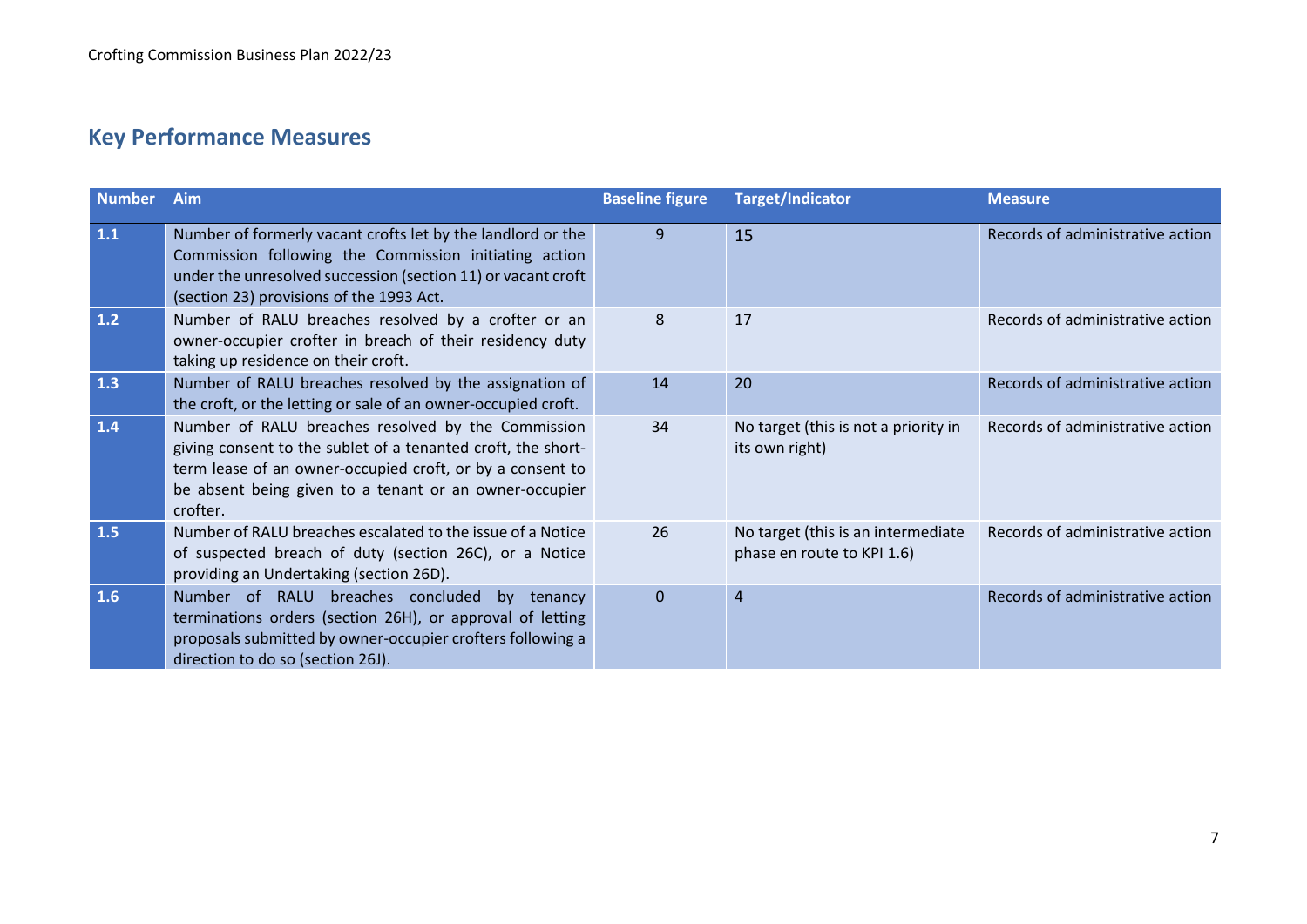| <b>Number</b> | Aim                                                                                                                                                                                                                                                   | <b>Baseline figure</b> | <b>Target/Indicator</b>                                          | <b>Measure</b>                   |
|---------------|-------------------------------------------------------------------------------------------------------------------------------------------------------------------------------------------------------------------------------------------------------|------------------------|------------------------------------------------------------------|----------------------------------|
| 1.1           | Number of formerly vacant crofts let by the landlord or the<br>Commission following the Commission initiating action<br>under the unresolved succession (section 11) or vacant croft<br>(section 23) provisions of the 1993 Act.                      | 9                      | 15                                                               | Records of administrative action |
| 1.2           | Number of RALU breaches resolved by a crofter or an<br>owner-occupier crofter in breach of their residency duty<br>taking up residence on their croft.                                                                                                | 8                      | 17                                                               | Records of administrative action |
| 1.3           | Number of RALU breaches resolved by the assignation of<br>the croft, or the letting or sale of an owner-occupied croft.                                                                                                                               | 14                     | 20                                                               | Records of administrative action |
| $1.4$         | Number of RALU breaches resolved by the Commission<br>giving consent to the sublet of a tenanted croft, the short-<br>term lease of an owner-occupied croft, or by a consent to<br>be absent being given to a tenant or an owner-occupier<br>crofter. | 34                     | No target (this is not a priority in<br>its own right)           | Records of administrative action |
| 1.5           | Number of RALU breaches escalated to the issue of a Notice<br>of suspected breach of duty (section 26C), or a Notice<br>providing an Undertaking (section 26D).                                                                                       | 26                     | No target (this is an intermediate<br>phase en route to KPI 1.6) | Records of administrative action |
| 1.6           | Number of RALU breaches concluded<br>by tenancy<br>terminations orders (section 26H), or approval of letting<br>proposals submitted by owner-occupier crofters following a<br>direction to do so (section 26J).                                       | $\Omega$               | $\overline{4}$                                                   | Records of administrative action |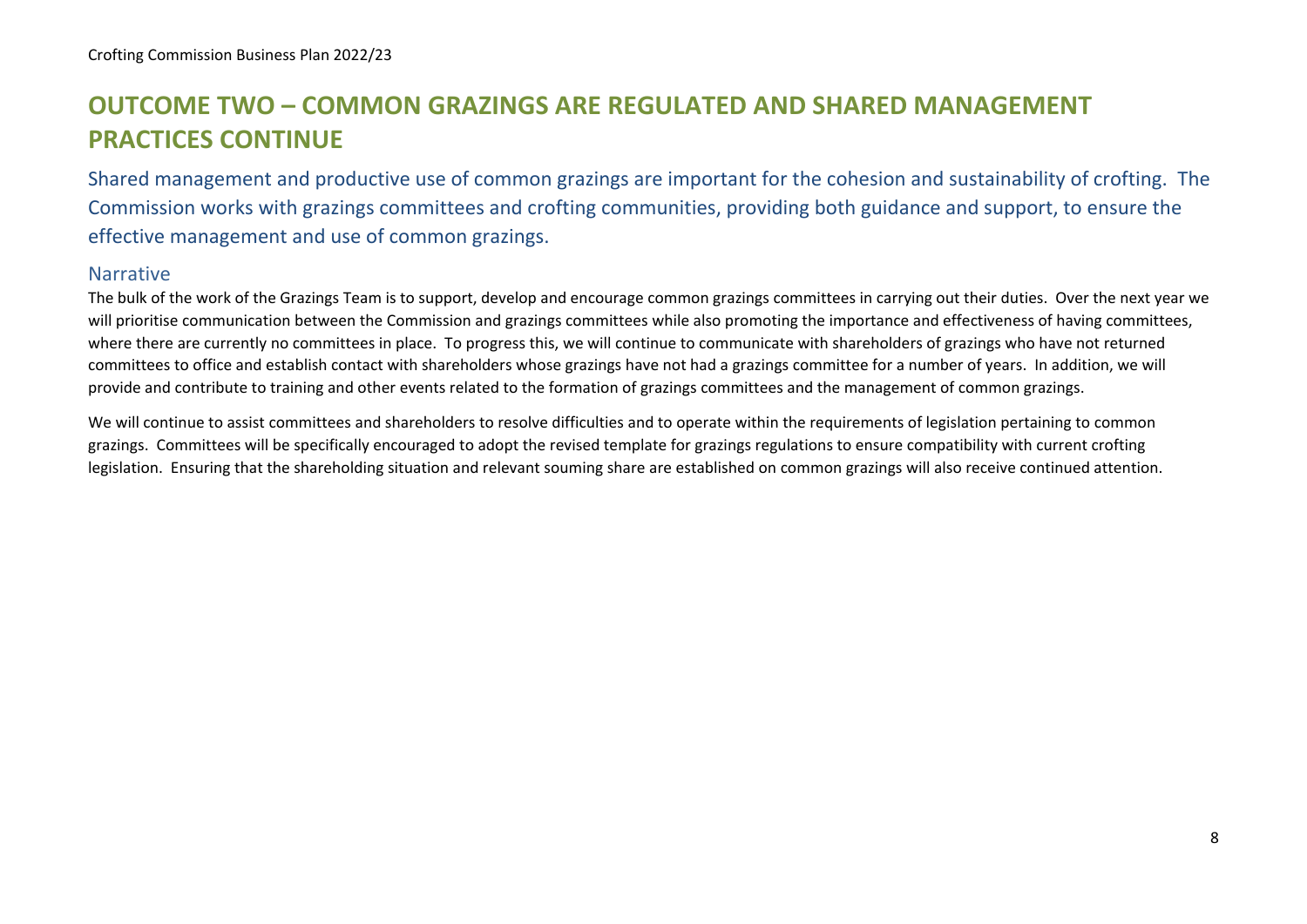# <span id="page-7-0"></span>**OUTCOME TWO – COMMON GRAZINGS ARE REGULATED AND SHARED MANAGEMENT PRACTICES CONTINUE**

Shared management and productive use of common grazings are important for the cohesion and sustainability of crofting. The Commission works with grazings committees and crofting communities, providing both guidance and support, to ensure the effective management and use of common grazings.

#### Narrative

The bulk of the work of the Grazings Team is to support, develop and encourage common grazings committees in carrying out their duties. Over the next year we will prioritise communication between the Commission and grazings committees while also promoting the importance and effectiveness of having committees, where there are currently no committees in place. To progress this, we will continue to communicate with shareholders of grazings who have not returned committees to office and establish contact with shareholders whose grazings have not had a grazings committee for a number of years. In addition, we will provide and contribute to training and other events related to the formation of grazings committees and the management of common grazings.

We will continue to assist committees and shareholders to resolve difficulties and to operate within the requirements of legislation pertaining to common grazings. Committees will be specifically encouraged to adopt the revised template for grazings regulations to ensure compatibility with current crofting legislation. Ensuring that the shareholding situation and relevant souming share are established on common grazings will also receive continued attention.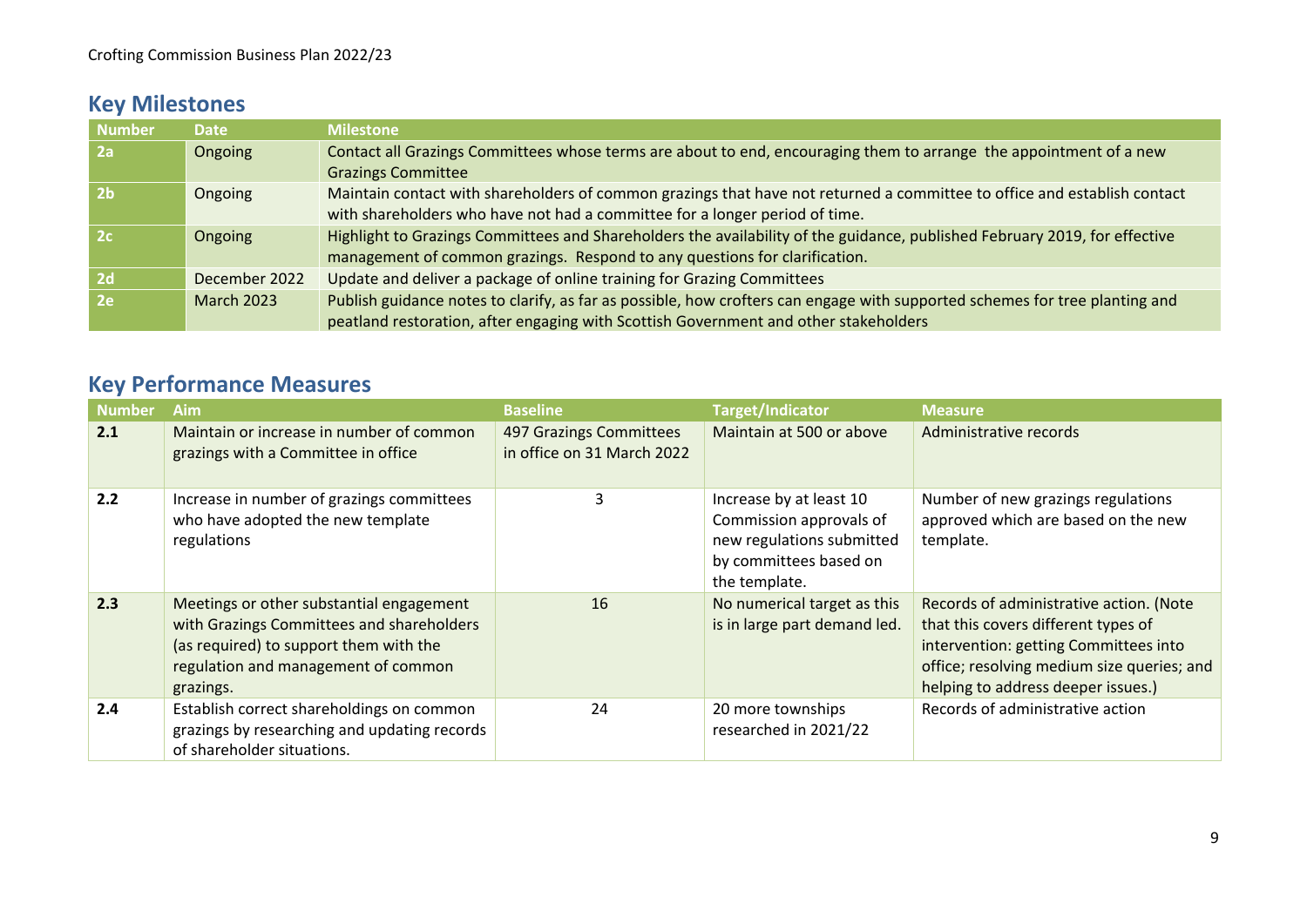| <b>Number</b>  | <b>Date</b>       | <b>Milestone</b>                                                                                                            |
|----------------|-------------------|-----------------------------------------------------------------------------------------------------------------------------|
| 2a             | Ongoing           | Contact all Grazings Committees whose terms are about to end, encouraging them to arrange the appointment of a new          |
|                |                   | <b>Grazings Committee</b>                                                                                                   |
| 2 <sub>b</sub> | Ongoing           | Maintain contact with shareholders of common grazings that have not returned a committee to office and establish contact    |
|                |                   | with shareholders who have not had a committee for a longer period of time.                                                 |
| 2c             | Ongoing           | Highlight to Grazings Committees and Shareholders the availability of the guidance, published February 2019, for effective  |
|                |                   | management of common grazings. Respond to any questions for clarification.                                                  |
| 2d             | December 2022     | Update and deliver a package of online training for Grazing Committees                                                      |
| 2e             | <b>March 2023</b> | Publish guidance notes to clarify, as far as possible, how crofters can engage with supported schemes for tree planting and |
|                |                   | peatland restoration, after engaging with Scottish Government and other stakeholders                                        |

| <b>Number</b> | Aim                                                                                                                                                                                 | <b>Baseline</b>                                       | <b>Target/Indicator</b>                                                                                                    | <b>Measure</b>                                                                                                                                                                                              |
|---------------|-------------------------------------------------------------------------------------------------------------------------------------------------------------------------------------|-------------------------------------------------------|----------------------------------------------------------------------------------------------------------------------------|-------------------------------------------------------------------------------------------------------------------------------------------------------------------------------------------------------------|
| 2.1           | Maintain or increase in number of common<br>grazings with a Committee in office                                                                                                     | 497 Grazings Committees<br>in office on 31 March 2022 | Maintain at 500 or above                                                                                                   | Administrative records                                                                                                                                                                                      |
| 2.2           | Increase in number of grazings committees<br>who have adopted the new template<br>regulations                                                                                       | 3                                                     | Increase by at least 10<br>Commission approvals of<br>new regulations submitted<br>by committees based on<br>the template. | Number of new grazings regulations<br>approved which are based on the new<br>template.                                                                                                                      |
| 2.3           | Meetings or other substantial engagement<br>with Grazings Committees and shareholders<br>(as required) to support them with the<br>regulation and management of common<br>grazings. | 16                                                    | No numerical target as this<br>is in large part demand led.                                                                | Records of administrative action. (Note<br>that this covers different types of<br>intervention: getting Committees into<br>office; resolving medium size queries; and<br>helping to address deeper issues.) |
| 2.4           | Establish correct shareholdings on common<br>grazings by researching and updating records<br>of shareholder situations.                                                             | 24                                                    | 20 more townships<br>researched in 2021/22                                                                                 | Records of administrative action                                                                                                                                                                            |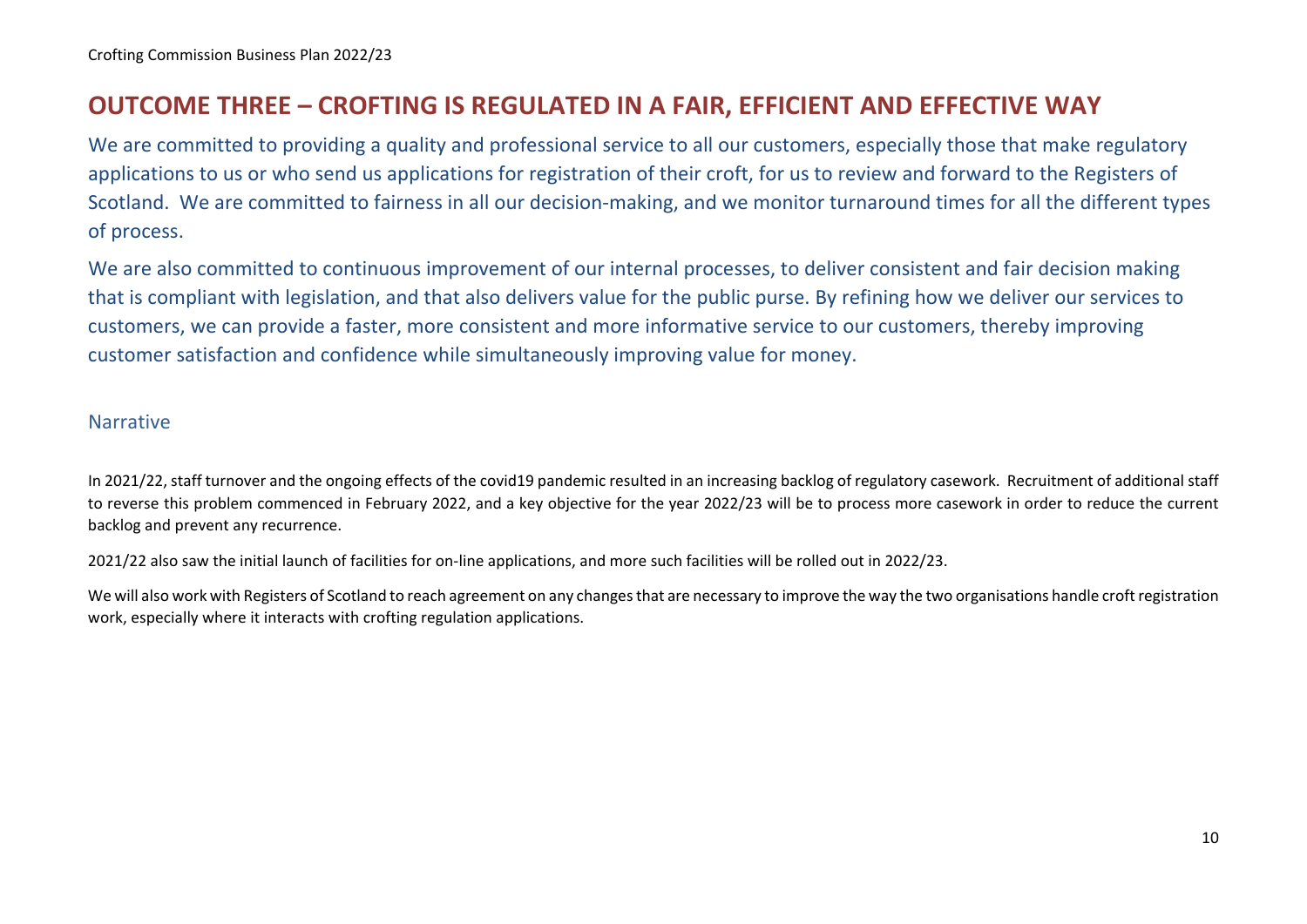#### <span id="page-9-0"></span>**OUTCOME THREE – CROFTING IS REGULATED IN A FAIR, EFFICIENT AND EFFECTIVE WAY**

We are committed to providing a quality and professional service to all our customers, especially those that make regulatory applications to us or who send us applications for registration of their croft, for us to review and forward to the Registers of Scotland. We are committed to fairness in all our decision-making, and we monitor turnaround times for all the different types of process.

We are also committed to continuous improvement of our internal processes, to deliver consistent and fair decision making that is compliant with legislation, and that also delivers value for the public purse. By refining how we deliver our services to customers, we can provide a faster, more consistent and more informative service to our customers, thereby improving customer satisfaction and confidence while simultaneously improving value for money.

#### Narrative

In 2021/22, staff turnover and the ongoing effects of the covid19 pandemic resulted in an increasing backlog of regulatory casework. Recruitment of additional staff to reverse this problem commenced in February 2022, and a key objective for the year 2022/23 will be to process more casework in order to reduce the current backlog and prevent any recurrence.

2021/22 also saw the initial launch of facilities for on-line applications, and more such facilities will be rolled out in 2022/23.

We will also work with Registers of Scotland to reach agreement on any changes that are necessary to improve the way the two organisations handle croft registration work, especially where it interacts with crofting regulation applications.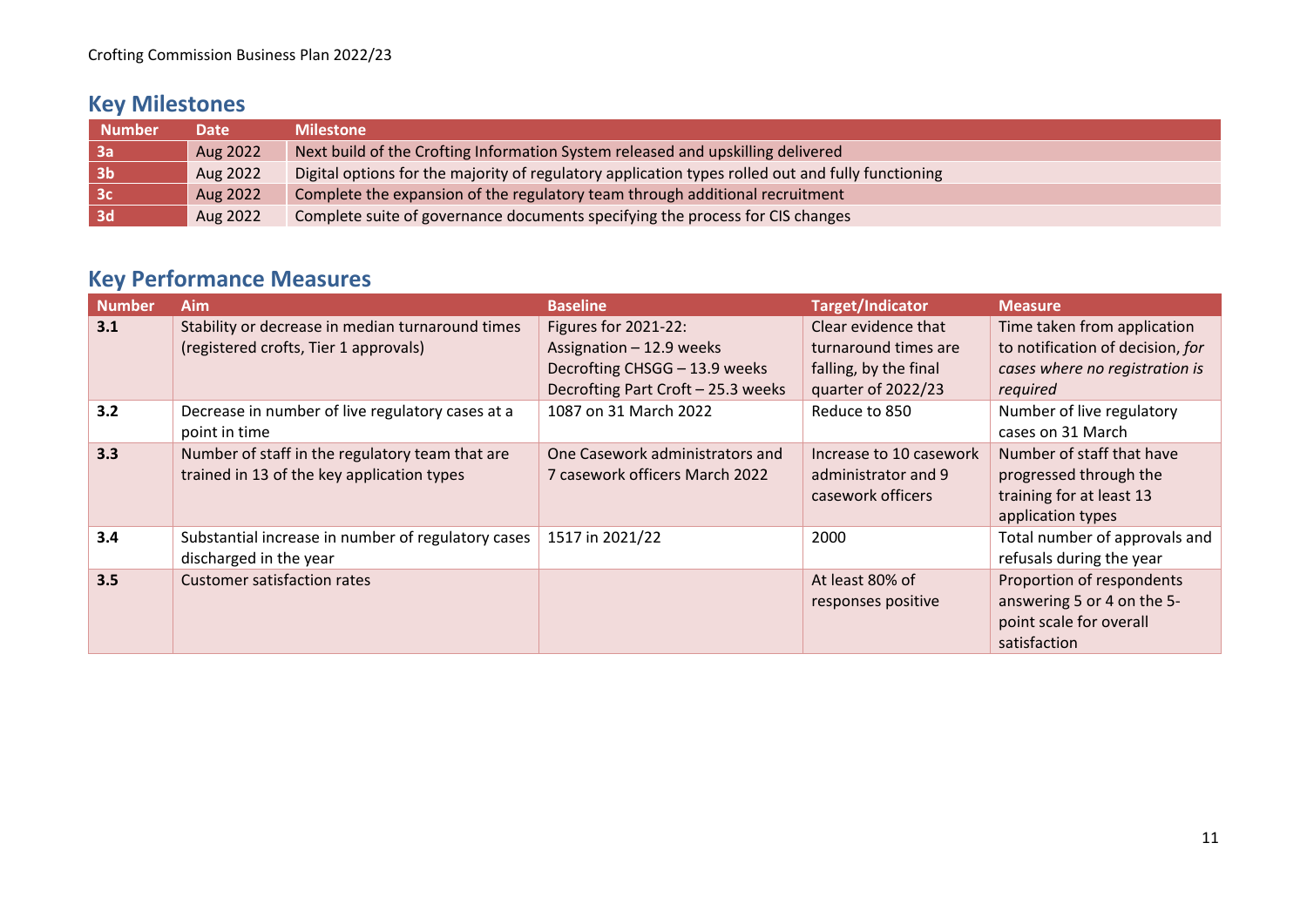| <b>Number</b>  | Date     | <b>Milestone</b>                                                                                  |
|----------------|----------|---------------------------------------------------------------------------------------------------|
| 3a             | Aug 2022 | Next build of the Crofting Information System released and upskilling delivered                   |
| 3 <sub>b</sub> | Aug 2022 | Digital options for the majority of regulatory application types rolled out and fully functioning |
| 3c             | Aug 2022 | Complete the expansion of the regulatory team through additional recruitment                      |
| 3d             | Aug 2022 | Complete suite of governance documents specifying the process for CIS changes                     |

| <b>Number</b> | <b>Aim</b>                                                                                    | <b>Baseline</b>                                                                                                         | <b>Target/Indicator</b>                                                                    | <b>Measure</b>                                                                                                |
|---------------|-----------------------------------------------------------------------------------------------|-------------------------------------------------------------------------------------------------------------------------|--------------------------------------------------------------------------------------------|---------------------------------------------------------------------------------------------------------------|
| 3.1           | Stability or decrease in median turnaround times<br>(registered crofts, Tier 1 approvals)     | Figures for 2021-22:<br>Assignation - 12.9 weeks<br>Decrofting CHSGG - 13.9 weeks<br>Decrofting Part Croft - 25.3 weeks | Clear evidence that<br>turnaround times are<br>falling, by the final<br>quarter of 2022/23 | Time taken from application<br>to notification of decision, for<br>cases where no registration is<br>required |
| 3.2           | Decrease in number of live regulatory cases at a<br>point in time                             | 1087 on 31 March 2022                                                                                                   | Reduce to 850                                                                              | Number of live regulatory<br>cases on 31 March                                                                |
| 3.3           | Number of staff in the regulatory team that are<br>trained in 13 of the key application types | One Casework administrators and<br>7 casework officers March 2022                                                       | Increase to 10 casework<br>administrator and 9<br>casework officers                        | Number of staff that have<br>progressed through the<br>training for at least 13<br>application types          |
| 3.4           | Substantial increase in number of regulatory cases<br>discharged in the year                  | 1517 in 2021/22                                                                                                         | 2000                                                                                       | Total number of approvals and<br>refusals during the year                                                     |
| 3.5           | <b>Customer satisfaction rates</b>                                                            |                                                                                                                         | At least 80% of<br>responses positive                                                      | Proportion of respondents<br>answering 5 or 4 on the 5-<br>point scale for overall<br>satisfaction            |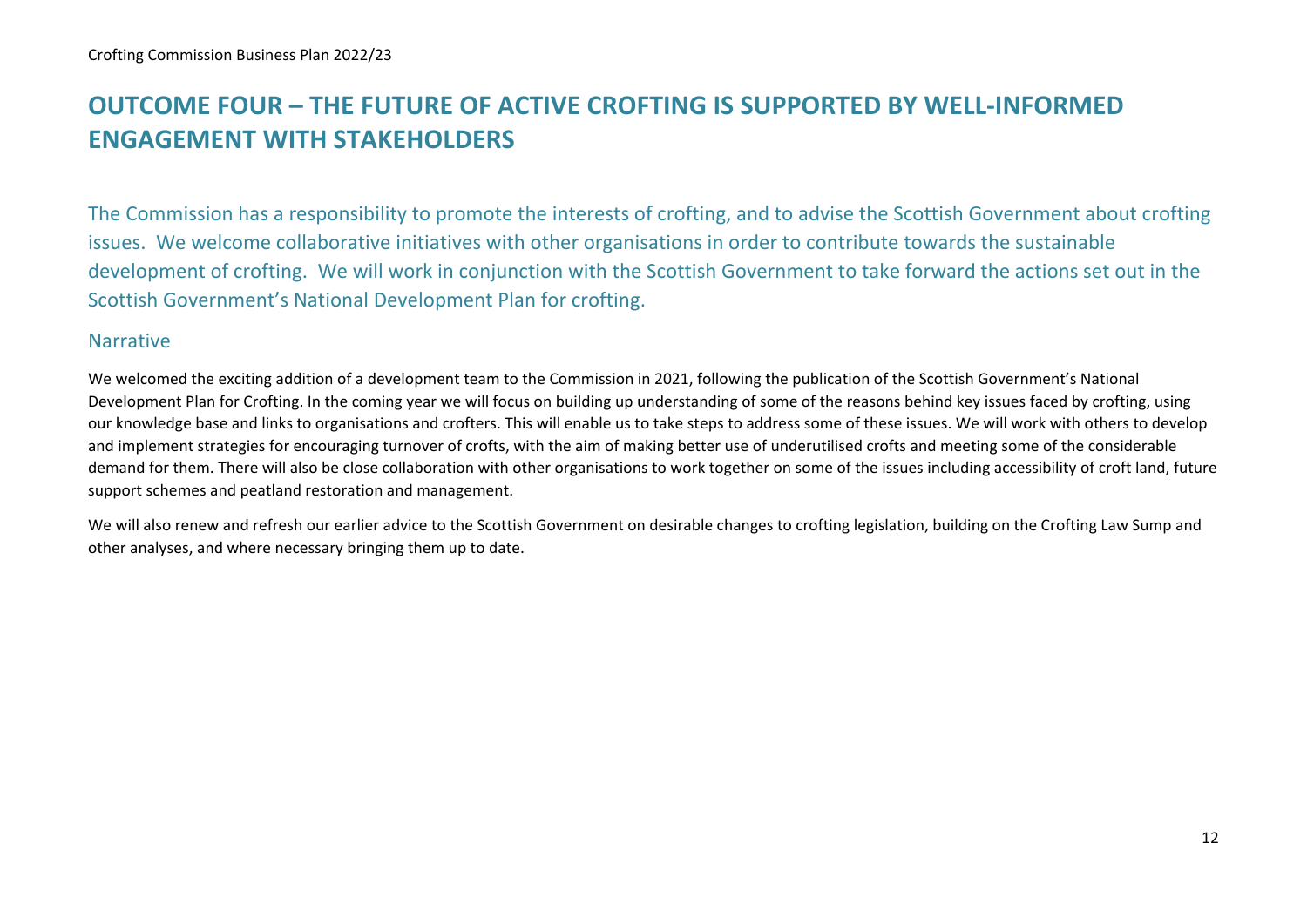# <span id="page-11-0"></span>**OUTCOME FOUR – THE FUTURE OF ACTIVE CROFTING IS SUPPORTED BY WELL-INFORMED ENGAGEMENT WITH STAKEHOLDERS**

The Commission has a responsibility to promote the interests of crofting, and to advise the Scottish Government about crofting issues. We welcome collaborative initiatives with other organisations in order to contribute towards the sustainable development of crofting. We will work in conjunction with the Scottish Government to take forward the actions set out in the Scottish Government's National Development Plan for crofting.

#### Narrative

We welcomed the exciting addition of a development team to the Commission in 2021, following the publication of the Scottish Government's National Development Plan for Crofting. In the coming year we will focus on building up understanding of some of the reasons behind key issues faced by crofting, using our knowledge base and links to organisations and crofters. This will enable us to take steps to address some of these issues. We will work with others to develop and implement strategies for encouraging turnover of crofts, with the aim of making better use of underutilised crofts and meeting some of the considerable demand for them. There will also be close collaboration with other organisations to work together on some of the issues including accessibility of croft land, future support schemes and peatland restoration and management.

We will also renew and refresh our earlier advice to the Scottish Government on desirable changes to crofting legislation, building on the Crofting Law Sump and other analyses, and where necessary bringing them up to date.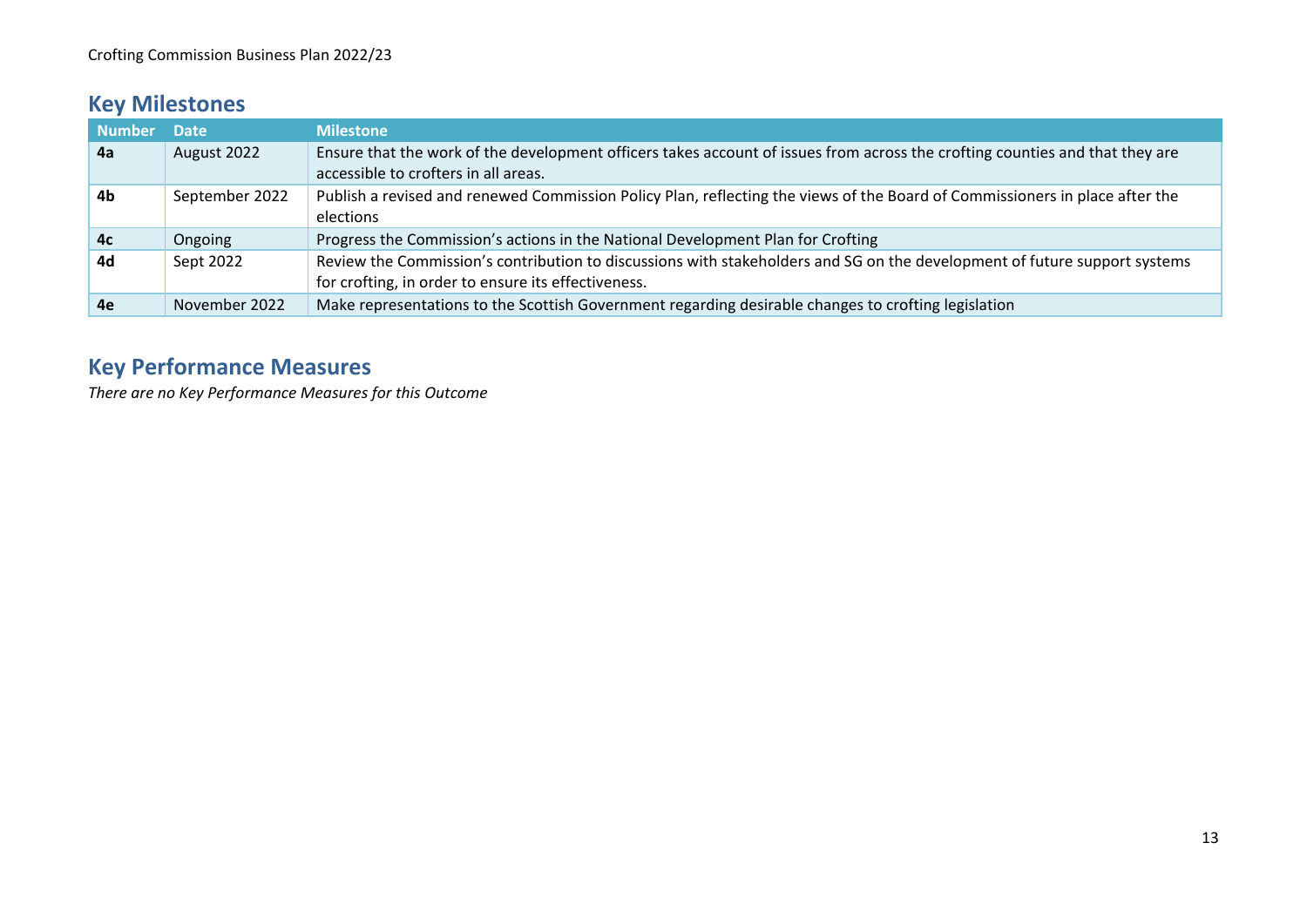| <b>Number</b>  | <b>Date</b>    | <b>Milestone</b>                                                                                                                                                                 |
|----------------|----------------|----------------------------------------------------------------------------------------------------------------------------------------------------------------------------------|
| 4a             | August 2022    | Ensure that the work of the development officers takes account of issues from across the crofting counties and that they are<br>accessible to crofters in all areas.             |
| 4b             | September 2022 | Publish a revised and renewed Commission Policy Plan, reflecting the views of the Board of Commissioners in place after the<br>elections                                         |
| 4 <sub>c</sub> | Ongoing        | Progress the Commission's actions in the National Development Plan for Crofting                                                                                                  |
| 4d             | Sept 2022      | Review the Commission's contribution to discussions with stakeholders and SG on the development of future support systems<br>for crofting, in order to ensure its effectiveness. |
| 4e             | November 2022  | Make representations to the Scottish Government regarding desirable changes to crofting legislation                                                                              |

# **Key Performance Measures**

*There are no Key Performance Measures for this Outcome*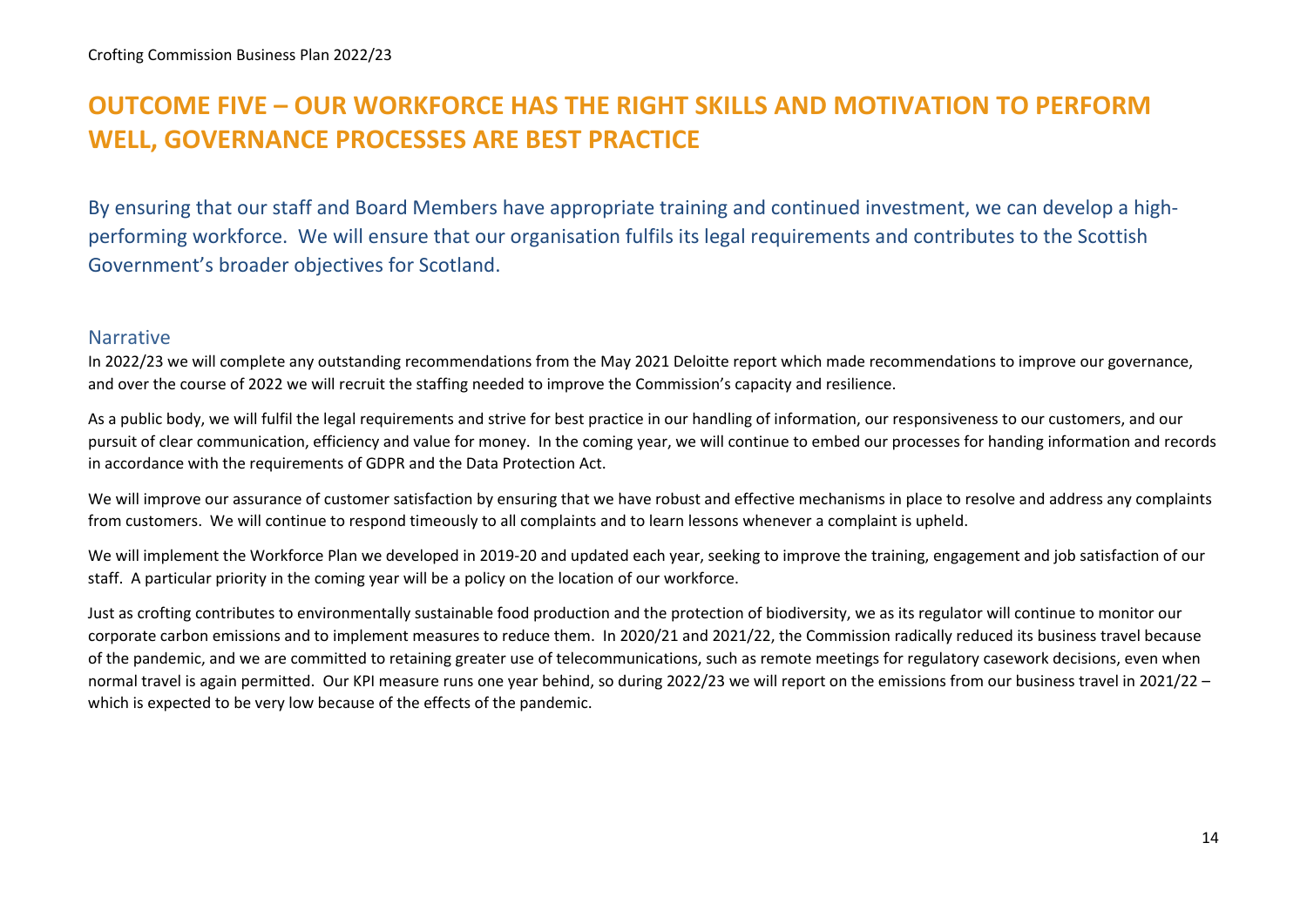# <span id="page-13-0"></span>**OUTCOME FIVE – OUR WORKFORCE HAS THE RIGHT SKILLS AND MOTIVATION TO PERFORM WELL, GOVERNANCE PROCESSES ARE BEST PRACTICE**

By ensuring that our staff and Board Members have appropriate training and continued investment, we can develop a highperforming workforce. We will ensure that our organisation fulfils its legal requirements and contributes to the Scottish Government's broader objectives for Scotland.

#### Narrative

In 2022/23 we will complete any outstanding recommendations from the May 2021 Deloitte report which made recommendations to improve our governance, and over the course of 2022 we will recruit the staffing needed to improve the Commission's capacity and resilience.

As a public body, we will fulfil the legal requirements and strive for best practice in our handling of information, our responsiveness to our customers, and our pursuit of clear communication, efficiency and value for money. In the coming year, we will continue to embed our processes for handing information and records in accordance with the requirements of GDPR and the Data Protection Act.

We will improve our assurance of customer satisfaction by ensuring that we have robust and effective mechanisms in place to resolve and address any complaints from customers. We will continue to respond timeously to all complaints and to learn lessons whenever a complaint is upheld.

We will implement the Workforce Plan we developed in 2019-20 and updated each year, seeking to improve the training, engagement and job satisfaction of our staff. A particular priority in the coming year will be a policy on the location of our workforce.

Just as crofting contributes to environmentally sustainable food production and the protection of biodiversity, we as its regulator will continue to monitor our corporate carbon emissions and to implement measures to reduce them. In 2020/21 and 2021/22, the Commission radically reduced its business travel because of the pandemic, and we are committed to retaining greater use of telecommunications, such as remote meetings for regulatory casework decisions, even when normal travel is again permitted. Our KPI measure runs one year behind, so during 2022/23 we will report on the emissions from our business travel in 2021/22 – which is expected to be very low because of the effects of the pandemic.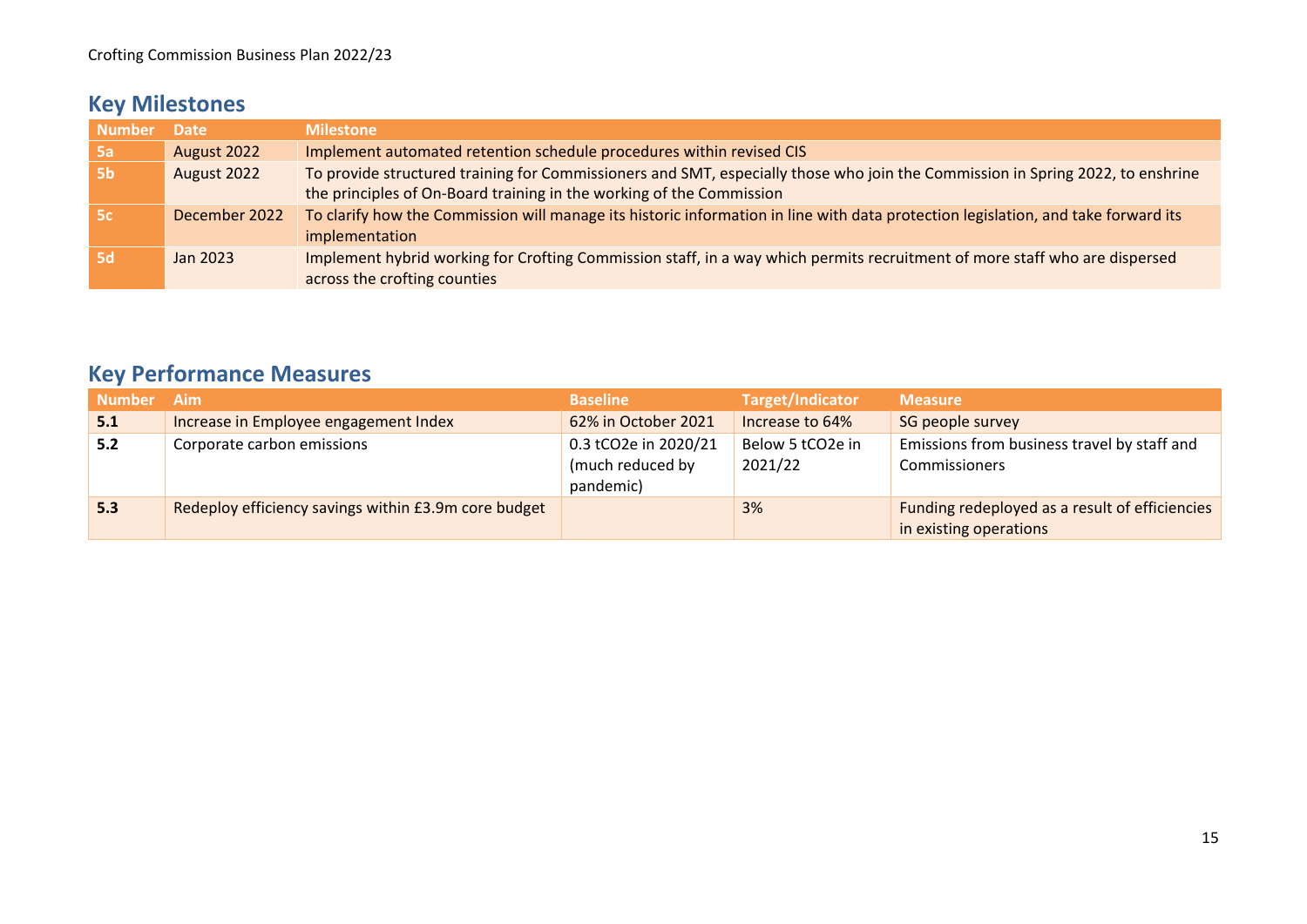| Number    | <b>Date</b>   | <b>Milestone</b>                                                                                                                                                                                       |
|-----------|---------------|--------------------------------------------------------------------------------------------------------------------------------------------------------------------------------------------------------|
| 5a        | August 2022   | Implement automated retention schedule procedures within revised CIS                                                                                                                                   |
| <b>5b</b> | August 2022   | To provide structured training for Commissioners and SMT, especially those who join the Commission in Spring 2022, to enshrine<br>the principles of On-Board training in the working of the Commission |
| <b>5c</b> | December 2022 | To clarify how the Commission will manage its historic information in line with data protection legislation, and take forward its<br>implementation                                                    |
| <b>5d</b> | Jan 2023      | Implement hybrid working for Crofting Commission staff, in a way which permits recruitment of more staff who are dispersed<br>across the crofting counties                                             |

| <b>Number</b> | <b>Aim</b>                                           | <b>Baseline</b>                                       | Target/Indicator            | <b>Measure</b>                                                           |
|---------------|------------------------------------------------------|-------------------------------------------------------|-----------------------------|--------------------------------------------------------------------------|
| 5.1           | Increase in Employee engagement Index                | 62% in October 2021                                   | Increase to 64%             | SG people survey                                                         |
| 5.2           | Corporate carbon emissions                           | 0.3 tCO2e in 2020/21<br>(much reduced by<br>pandemic) | Below 5 tCO2e in<br>2021/22 | Emissions from business travel by staff and<br>Commissioners             |
| 5.3           | Redeploy efficiency savings within £3.9m core budget |                                                       | 3%                          | Funding redeployed as a result of efficiencies<br>in existing operations |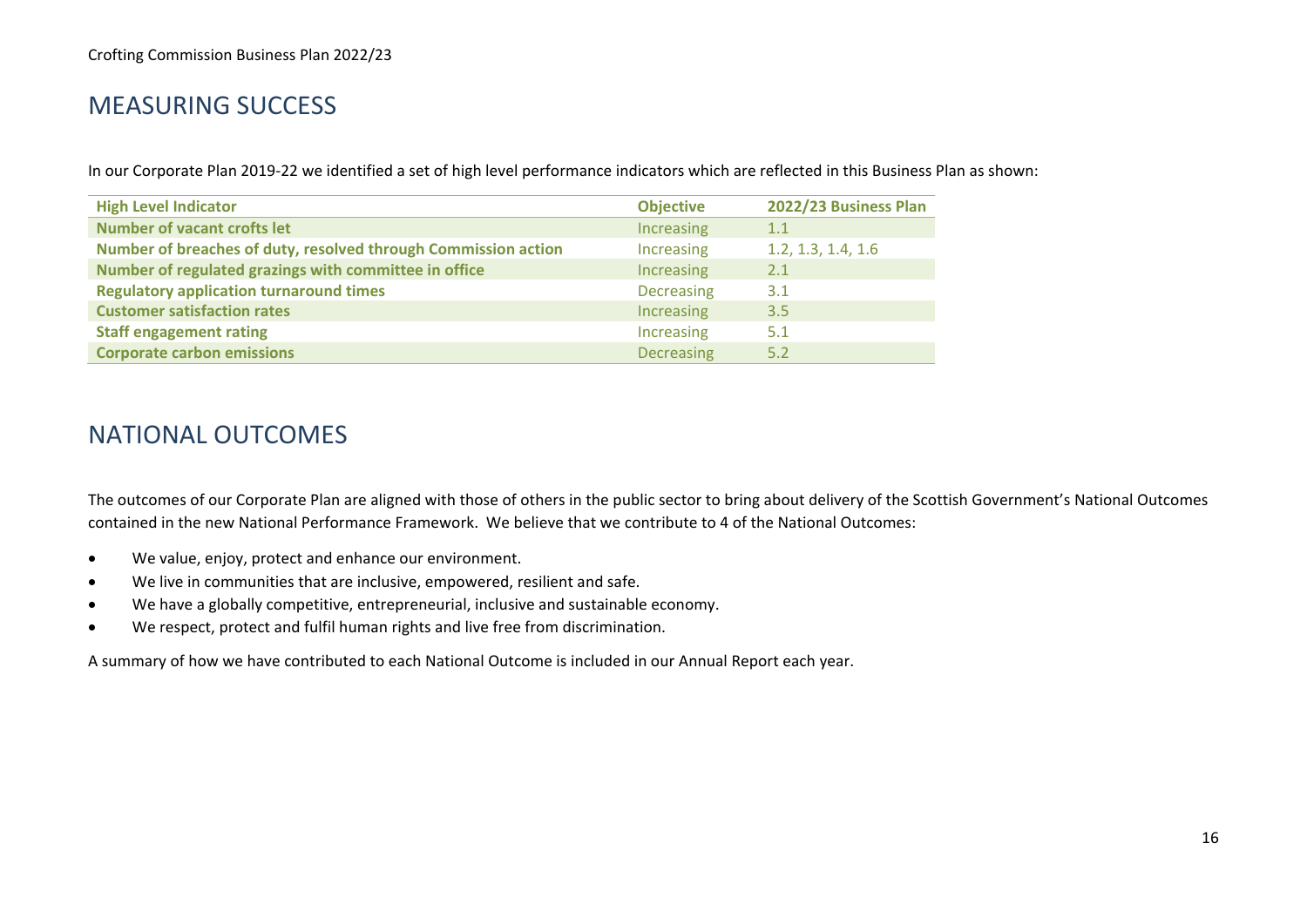# <span id="page-15-0"></span>MEASURING SUCCESS

In our Corporate Plan 2019-22 we identified a set of high level performance indicators which are reflected in this Business Plan as shown:

| <b>High Level Indicator</b>                                    | <b>Objective</b>  | 2022/23 Business Plan |
|----------------------------------------------------------------|-------------------|-----------------------|
| <b>Number of vacant crofts let</b>                             | Increasing        | 1.1                   |
| Number of breaches of duty, resolved through Commission action | Increasing        | 1.2, 1.3, 1.4, 1.6    |
| Number of regulated grazings with committee in office          | Increasing        | 2.1                   |
| <b>Regulatory application turnaround times</b>                 | <b>Decreasing</b> | 3.1                   |
| <b>Customer satisfaction rates</b>                             | Increasing        | 3.5                   |
| <b>Staff engagement rating</b>                                 | Increasing        | 5.1                   |
| <b>Corporate carbon emissions</b>                              | <b>Decreasing</b> | 5.2                   |

#### <span id="page-15-1"></span>NATIONAL OUTCOMES

The outcomes of our Corporate Plan are aligned with those of others in the public sector to bring about delivery of the Scottish Government's National Outcomes contained in the new National Performance Framework. We believe that we contribute to 4 of the National Outcomes:

- We value, enjoy, protect and enhance our environment.
- We live in communities that are inclusive, empowered, resilient and safe.
- We have a globally competitive, entrepreneurial, inclusive and sustainable economy.
- We respect, protect and fulfil human rights and live free from discrimination.

A summary of how we have contributed to each National Outcome is included in our Annual Report each year.